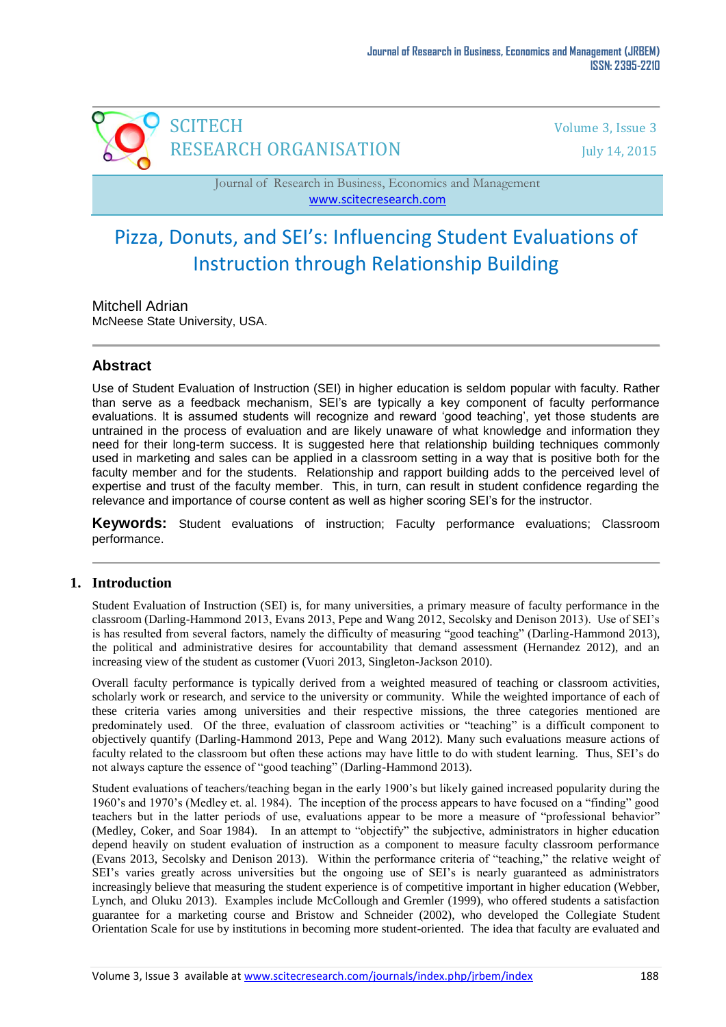

Journal of Research in Business, Economics and Management [www.scitecresearch.com](http://www.scitecresearch.com/)

# Pizza, Donuts, and SEI's: Influencing Student Evaluations of Instruction through Relationship Building

Mitchell Adrian

McNeese State University, USA.

# **Abstract**

Use of Student Evaluation of Instruction (SEI) in higher education is seldom popular with faculty. Rather than serve as a feedback mechanism, SEI's are typically a key component of faculty performance evaluations. It is assumed students will recognize and reward 'good teaching', yet those students are untrained in the process of evaluation and are likely unaware of what knowledge and information they need for their long-term success. It is suggested here that relationship building techniques commonly used in marketing and sales can be applied in a classroom setting in a way that is positive both for the faculty member and for the students. Relationship and rapport building adds to the perceived level of expertise and trust of the faculty member. This, in turn, can result in student confidence regarding the relevance and importance of course content as well as higher scoring SEI's for the instructor.

**Keywords:** Student evaluations of instruction; Faculty performance evaluations; Classroom performance.

## **1. Introduction**

Student Evaluation of Instruction (SEI) is, for many universities, a primary measure of faculty performance in the classroom (Darling-Hammond 2013, Evans 2013, Pepe and Wang 2012, Secolsky and Denison 2013). Use of SEI"s is has resulted from several factors, namely the difficulty of measuring "good teaching" (Darling-Hammond 2013), the political and administrative desires for accountability that demand assessment (Hernandez 2012), and an increasing view of the student as customer (Vuori 2013, Singleton-Jackson 2010).

Overall faculty performance is typically derived from a weighted measured of teaching or classroom activities, scholarly work or research, and service to the university or community. While the weighted importance of each of these criteria varies among universities and their respective missions, the three categories mentioned are predominately used. Of the three, evaluation of classroom activities or "teaching" is a difficult component to objectively quantify (Darling-Hammond 2013, Pepe and Wang 2012). Many such evaluations measure actions of faculty related to the classroom but often these actions may have little to do with student learning. Thus, SEI's do not always capture the essence of "good teaching" (Darling-Hammond 2013).

Student evaluations of teachers/teaching began in the early 1900"s but likely gained increased popularity during the 1960"s and 1970"s (Medley et. al. 1984). The inception of the process appears to have focused on a "finding" good teachers but in the latter periods of use, evaluations appear to be more a measure of "professional behavior" (Medley, Coker, and Soar 1984). In an attempt to "objectify" the subjective, administrators in higher education depend heavily on student evaluation of instruction as a component to measure faculty classroom performance (Evans 2013, Secolsky and Denison 2013). Within the performance criteria of "teaching," the relative weight of SEI"s varies greatly across universities but the ongoing use of SEI"s is nearly guaranteed as administrators increasingly believe that measuring the student experience is of competitive important in higher education (Webber, [Lynch, and Oluku](http://www.eric.ed.gov/ERICWebPortal/search/simpleSearch.jsp?_pageLabel=ERICSearchResult&_urlType=action&newSearch=true&ERICExtSearch_SearchType_0=au&ERICExtSearch_SearchValue_0=%22Lynch+Siobhan%22) 2013). Examples include McCollough and Gremler (1999), who offered students a satisfaction guarantee for a marketing course and Bristow and Schneider (2002), who developed the Collegiate Student Orientation Scale for use by institutions in becoming more student-oriented. The idea that faculty are evaluated and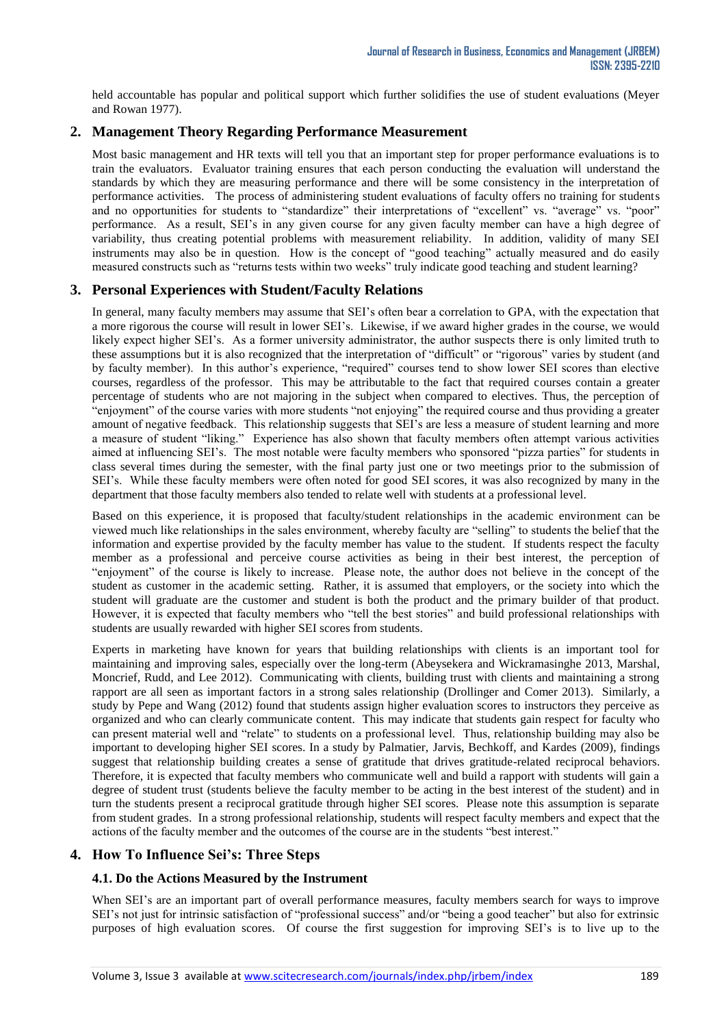held accountable has popular and political support which further solidifies the use of student evaluations (Meyer and Rowan 1977).

# **2. Management Theory Regarding Performance Measurement**

Most basic management and HR texts will tell you that an important step for proper performance evaluations is to train the evaluators. Evaluator training ensures that each person conducting the evaluation will understand the standards by which they are measuring performance and there will be some consistency in the interpretation of performance activities. The process of administering student evaluations of faculty offers no training for students and no opportunities for students to "standardize" their interpretations of "excellent" vs. "average" vs. "poor" performance. As a result, SEI's in any given course for any given faculty member can have a high degree of variability, thus creating potential problems with measurement reliability. In addition, validity of many SEI instruments may also be in question. How is the concept of "good teaching" actually measured and do easily measured constructs such as "returns tests within two weeks" truly indicate good teaching and student learning?

## **3. Personal Experiences with Student/Faculty Relations**

In general, many faculty members may assume that SEI's often bear a correlation to GPA, with the expectation that a more rigorous the course will result in lower SEI"s. Likewise, if we award higher grades in the course, we would likely expect higher SEI"s. As a former university administrator, the author suspects there is only limited truth to these assumptions but it is also recognized that the interpretation of "difficult" or "rigorous" varies by student (and by faculty member). In this author"s experience, "required" courses tend to show lower SEI scores than elective courses, regardless of the professor. This may be attributable to the fact that required courses contain a greater percentage of students who are not majoring in the subject when compared to electives. Thus, the perception of "enjoyment" of the course varies with more students "not enjoying" the required course and thus providing a greater amount of negative feedback. This relationship suggests that SEI"s are less a measure of student learning and more a measure of student "liking." Experience has also shown that faculty members often attempt various activities aimed at influencing SEI"s. The most notable were faculty members who sponsored "pizza parties" for students in class several times during the semester, with the final party just one or two meetings prior to the submission of SEI"s. While these faculty members were often noted for good SEI scores, it was also recognized by many in the department that those faculty members also tended to relate well with students at a professional level.

Based on this experience, it is proposed that faculty/student relationships in the academic environment can be viewed much like relationships in the sales environment, whereby faculty are "selling" to students the belief that the information and expertise provided by the faculty member has value to the student. If students respect the faculty member as a professional and perceive course activities as being in their best interest, the perception of "enjoyment" of the course is likely to increase. Please note, the author does not believe in the concept of the student as customer in the academic setting. Rather, it is assumed that employers, or the society into which the student will graduate are the customer and student is both the product and the primary builder of that product. However, it is expected that faculty members who "tell the best stories" and build professional relationships with students are usually rewarded with higher SEI scores from students.

Experts in marketing have known for years that building relationships with clients is an important tool for maintaining and improving sales, especially over the long-term (Abeysekera and Wickramasinghe 2013, Marshal, Moncrief, Rudd, and Lee 2012). Communicating with clients, building trust with clients and maintaining a strong rapport are all seen as important factors in a strong sales relationship (Drollinger and Comer 2013). Similarly, a study by Pepe and Wang (2012) found that students assign higher evaluation scores to instructors they perceive as organized and who can clearly communicate content. This may indicate that students gain respect for faculty who can present material well and "relate" to students on a professional level. Thus, relationship building may also be important to developing higher SEI scores. In a study by Palmatier, Jarvis, Bechkoff, and Kardes (2009), findings suggest that relationship building creates a sense of gratitude that drives gratitude-related reciprocal behaviors. Therefore, it is expected that faculty members who communicate well and build a rapport with students will gain a degree of student trust (students believe the faculty member to be acting in the best interest of the student) and in turn the students present a reciprocal gratitude through higher SEI scores. Please note this assumption is separate from student grades. In a strong professional relationship, students will respect faculty members and expect that the actions of the faculty member and the outcomes of the course are in the students "best interest."

## **4. How To Influence Sei's: Three Steps**

### **4.1. Do the Actions Measured by the Instrument**

When SEI's are an important part of overall performance measures, faculty members search for ways to improve SEI"s not just for intrinsic satisfaction of "professional success" and/or "being a good teacher" but also for extrinsic purposes of high evaluation scores. Of course the first suggestion for improving SEI"s is to live up to the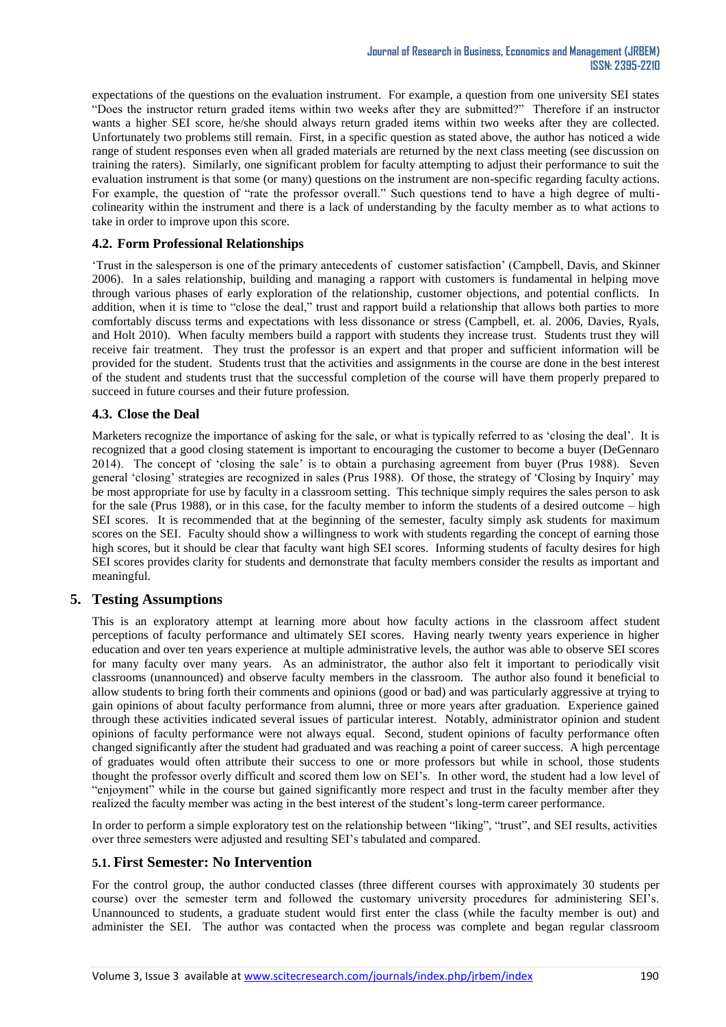expectations of the questions on the evaluation instrument. For example, a question from one university SEI states "Does the instructor return graded items within two weeks after they are submitted?" Therefore if an instructor wants a higher SEI score, he/she should always return graded items within two weeks after they are collected. Unfortunately two problems still remain. First, in a specific question as stated above, the author has noticed a wide range of student responses even when all graded materials are returned by the next class meeting (see discussion on training the raters). Similarly, one significant problem for faculty attempting to adjust their performance to suit the evaluation instrument is that some (or many) questions on the instrument are non-specific regarding faculty actions. For example, the question of "rate the professor overall." Such questions tend to have a high degree of multicolinearity within the instrument and there is a lack of understanding by the faculty member as to what actions to take in order to improve upon this score.

### **4.2. Form Professional Relationships**

"Trust in the salesperson is one of the primary antecedents of customer satisfaction" (Campbell, Davis, and Skinner 2006). In a sales relationship, building and managing a rapport with customers is fundamental in helping move through various phases of early exploration of the relationship, customer objections, and potential conflicts. In addition, when it is time to "close the deal," trust and rapport build a relationship that allows both parties to more comfortably discuss terms and expectations with less dissonance or stress (Campbell, et. al. 2006, Davies, Ryals, and Holt 2010). When faculty members build a rapport with students they increase trust. Students trust they will receive fair treatment. They trust the professor is an expert and that proper and sufficient information will be provided for the student. Students trust that the activities and assignments in the course are done in the best interest of the student and students trust that the successful completion of the course will have them properly prepared to succeed in future courses and their future profession.

### **4.3. Close the Deal**

Marketers recognize the importance of asking for the sale, or what is typically referred to as "closing the deal". It is recognized that a good closing statement is important to encouraging the customer to become a buyer (DeGennaro 2014). The concept of "closing the sale" is to obtain a purchasing agreement from buyer (Prus 1988). Seven general "closing" strategies are recognized in sales (Prus 1988). Of those, the strategy of "Closing by Inquiry" may be most appropriate for use by faculty in a classroom setting. This technique simply requires the sales person to ask for the sale (Prus 1988), or in this case, for the faculty member to inform the students of a desired outcome – high SEI scores. It is recommended that at the beginning of the semester, faculty simply ask students for maximum scores on the SEI. Faculty should show a willingness to work with students regarding the concept of earning those high scores, but it should be clear that faculty want high SEI scores. Informing students of faculty desires for high SEI scores provides clarity for students and demonstrate that faculty members consider the results as important and meaningful.

## **5. Testing Assumptions**

This is an exploratory attempt at learning more about how faculty actions in the classroom affect student perceptions of faculty performance and ultimately SEI scores. Having nearly twenty years experience in higher education and over ten years experience at multiple administrative levels, the author was able to observe SEI scores for many faculty over many years. As an administrator, the author also felt it important to periodically visit classrooms (unannounced) and observe faculty members in the classroom. The author also found it beneficial to allow students to bring forth their comments and opinions (good or bad) and was particularly aggressive at trying to gain opinions of about faculty performance from alumni, three or more years after graduation. Experience gained through these activities indicated several issues of particular interest. Notably, administrator opinion and student opinions of faculty performance were not always equal. Second, student opinions of faculty performance often changed significantly after the student had graduated and was reaching a point of career success. A high percentage of graduates would often attribute their success to one or more professors but while in school, those students thought the professor overly difficult and scored them low on SEI"s. In other word, the student had a low level of "enjoyment" while in the course but gained significantly more respect and trust in the faculty member after they realized the faculty member was acting in the best interest of the student"s long-term career performance.

In order to perform a simple exploratory test on the relationship between "liking", "trust", and SEI results, activities over three semesters were adjusted and resulting SEI"s tabulated and compared.

### **5.1. First Semester: No Intervention**

For the control group, the author conducted classes (three different courses with approximately 30 students per course) over the semester term and followed the customary university procedures for administering SEI"s. Unannounced to students, a graduate student would first enter the class (while the faculty member is out) and administer the SEI. The author was contacted when the process was complete and began regular classroom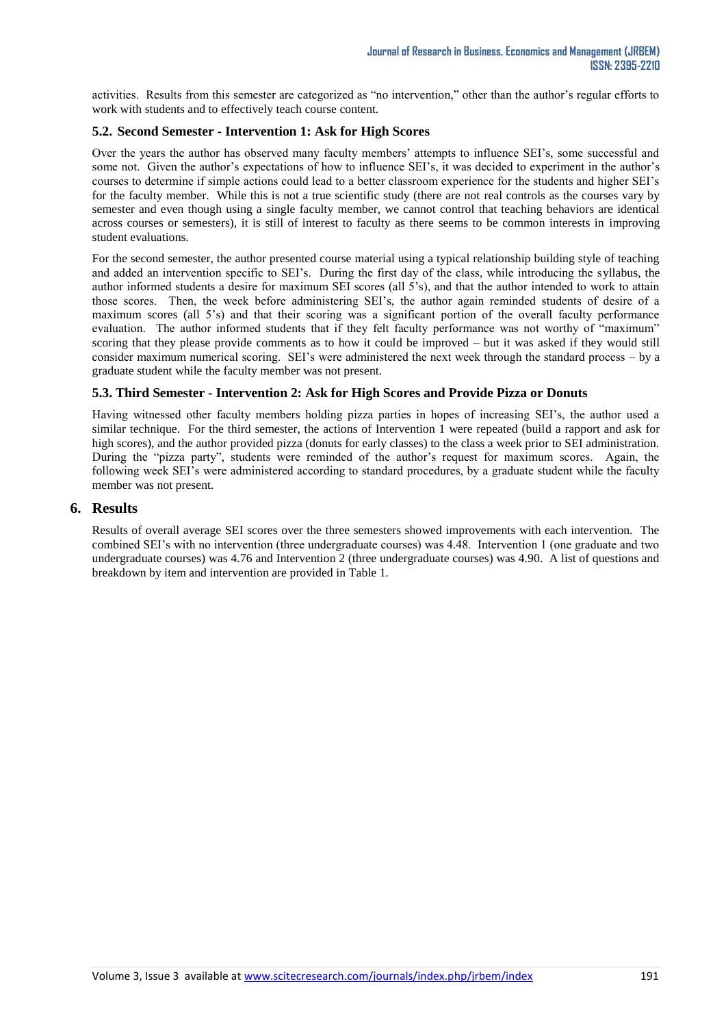activities. Results from this semester are categorized as "no intervention," other than the author's regular efforts to work with students and to effectively teach course content.

#### **5.2. Second Semester - Intervention 1: Ask for High Scores**

Over the years the author has observed many faculty members' attempts to influence SEI's, some successful and some not. Given the author's expectations of how to influence SEI's, it was decided to experiment in the author's courses to determine if simple actions could lead to a better classroom experience for the students and higher SEI"s for the faculty member. While this is not a true scientific study (there are not real controls as the courses vary by semester and even though using a single faculty member, we cannot control that teaching behaviors are identical across courses or semesters), it is still of interest to faculty as there seems to be common interests in improving student evaluations.

For the second semester, the author presented course material using a typical relationship building style of teaching and added an intervention specific to SEI"s. During the first day of the class, while introducing the syllabus, the author informed students a desire for maximum SEI scores (all 5"s), and that the author intended to work to attain those scores. Then, the week before administering SEI"s, the author again reminded students of desire of a maximum scores (all 5"s) and that their scoring was a significant portion of the overall faculty performance evaluation. The author informed students that if they felt faculty performance was not worthy of "maximum" scoring that they please provide comments as to how it could be improved – but it was asked if they would still consider maximum numerical scoring. SEI"s were administered the next week through the standard process – by a graduate student while the faculty member was not present.

#### **5.3. Third Semester - Intervention 2: Ask for High Scores and Provide Pizza or Donuts**

Having witnessed other faculty members holding pizza parties in hopes of increasing SEI"s, the author used a similar technique. For the third semester, the actions of Intervention 1 were repeated (build a rapport and ask for high scores), and the author provided pizza (donuts for early classes) to the class a week prior to SEI administration. During the "pizza party", students were reminded of the author's request for maximum scores. Again, the following week SEI"s were administered according to standard procedures, by a graduate student while the faculty member was not present.

#### **6. Results**

Results of overall average SEI scores over the three semesters showed improvements with each intervention. The combined SEI"s with no intervention (three undergraduate courses) was 4.48. Intervention 1 (one graduate and two undergraduate courses) was 4.76 and Intervention 2 (three undergraduate courses) was 4.90. A list of questions and breakdown by item and intervention are provided in Table 1.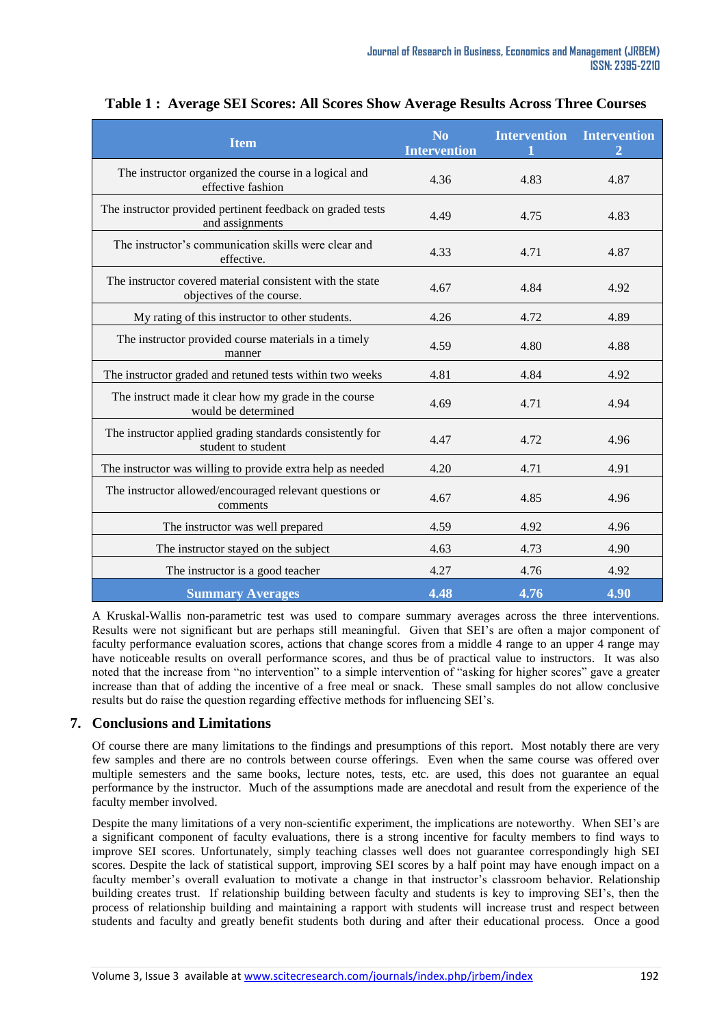| <b>Item</b>                                                                            | $\overline{\text{No}}$<br><b>Intervention</b> | <b>Intervention</b> | <b>Intervention</b> |
|----------------------------------------------------------------------------------------|-----------------------------------------------|---------------------|---------------------|
| The instructor organized the course in a logical and<br>effective fashion              | 4.36                                          | 4.83                | 4.87                |
| The instructor provided pertinent feedback on graded tests<br>and assignments          | 4.49                                          | 4.75                | 4.83                |
| The instructor's communication skills were clear and<br>effective.                     | 4.33                                          | 4.71                | 4.87                |
| The instructor covered material consistent with the state<br>objectives of the course. | 4.67                                          | 4.84                | 4.92                |
| My rating of this instructor to other students.                                        | 4.26                                          | 4.72                | 4.89                |
| The instructor provided course materials in a timely<br>manner                         | 4.59                                          | 4.80                | 4.88                |
| The instructor graded and retuned tests within two weeks                               | 4.81                                          | 4.84                | 4.92                |
| The instruct made it clear how my grade in the course<br>would be determined           | 4.69                                          | 4.71                | 4.94                |
| The instructor applied grading standards consistently for<br>student to student        | 4.47                                          | 4.72                | 4.96                |
| The instructor was willing to provide extra help as needed                             | 4.20                                          | 4.71                | 4.91                |
| The instructor allowed/encouraged relevant questions or<br>comments                    | 4.67                                          | 4.85                | 4.96                |
| The instructor was well prepared                                                       | 4.59                                          | 4.92                | 4.96                |
| The instructor stayed on the subject                                                   | 4.63                                          | 4.73                | 4.90                |
| The instructor is a good teacher                                                       | 4.27                                          | 4.76                | 4.92                |
| <b>Summary Averages</b>                                                                | 4.48                                          | 4.76                | 4.90                |

**Table 1 : Average SEI Scores: All Scores Show Average Results Across Three Courses**

A Kruskal-Wallis non-parametric test was used to compare summary averages across the three interventions. Results were not significant but are perhaps still meaningful. Given that SEI"s are often a major component of faculty performance evaluation scores, actions that change scores from a middle 4 range to an upper 4 range may have noticeable results on overall performance scores, and thus be of practical value to instructors. It was also noted that the increase from "no intervention" to a simple intervention of "asking for higher scores" gave a greater increase than that of adding the incentive of a free meal or snack. These small samples do not allow conclusive results but do raise the question regarding effective methods for influencing SEI"s.

### **7. Conclusions and Limitations**

Of course there are many limitations to the findings and presumptions of this report. Most notably there are very few samples and there are no controls between course offerings. Even when the same course was offered over multiple semesters and the same books, lecture notes, tests, etc. are used, this does not guarantee an equal performance by the instructor. Much of the assumptions made are anecdotal and result from the experience of the faculty member involved.

Despite the many limitations of a very non-scientific experiment, the implications are noteworthy. When SEI"s are a significant component of faculty evaluations, there is a strong incentive for faculty members to find ways to improve SEI scores. Unfortunately, simply teaching classes well does not guarantee correspondingly high SEI scores. Despite the lack of statistical support, improving SEI scores by a half point may have enough impact on a faculty member's overall evaluation to motivate a change in that instructor's classroom behavior. Relationship building creates trust. If relationship building between faculty and students is key to improving SEI"s, then the process of relationship building and maintaining a rapport with students will increase trust and respect between students and faculty and greatly benefit students both during and after their educational process. Once a good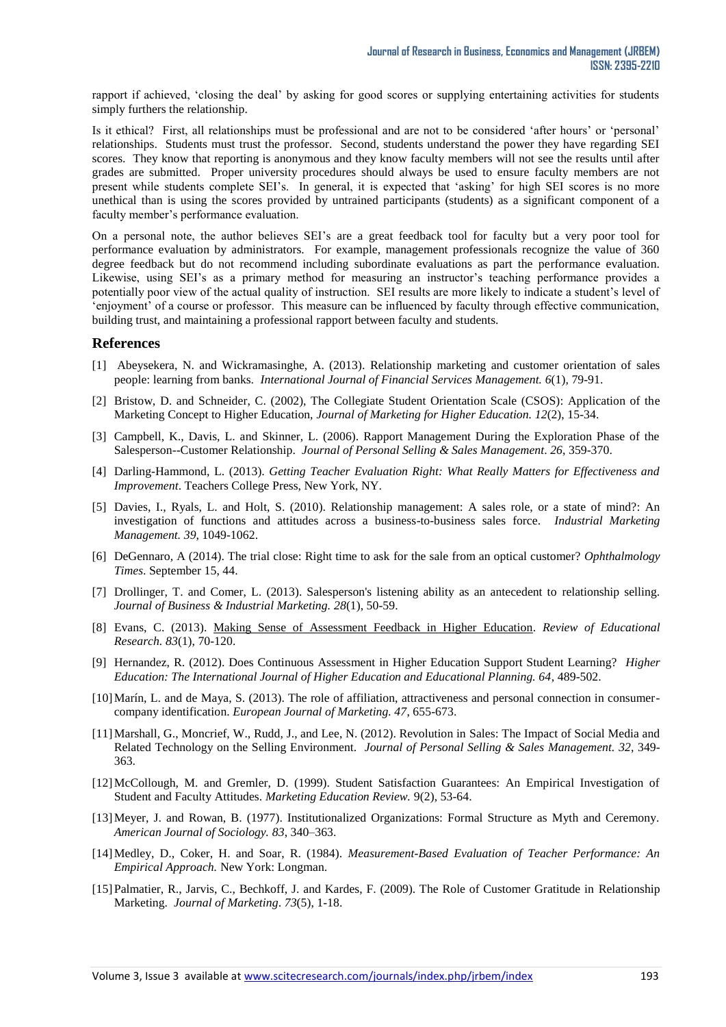rapport if achieved, "closing the deal" by asking for good scores or supplying entertaining activities for students simply furthers the relationship.

Is it ethical? First, all relationships must be professional and are not to be considered "after hours" or "personal" relationships. Students must trust the professor. Second, students understand the power they have regarding SEI scores. They know that reporting is anonymous and they know faculty members will not see the results until after grades are submitted. Proper university procedures should always be used to ensure faculty members are not present while students complete SEI"s. In general, it is expected that "asking" for high SEI scores is no more unethical than is using the scores provided by untrained participants (students) as a significant component of a faculty member"s performance evaluation.

On a personal note, the author believes SEI"s are a great feedback tool for faculty but a very poor tool for performance evaluation by administrators. For example, management professionals recognize the value of 360 degree feedback but do not recommend including subordinate evaluations as part the performance evaluation. Likewise, using SEI's as a primary method for measuring an instructor's teaching performance provides a potentially poor view of the actual quality of instruction. SEI results are more likely to indicate a student"s level of "enjoyment" of a course or professor. This measure can be influenced by faculty through effective communication, building trust, and maintaining a professional rapport between faculty and students.

#### **References**

- [1] Abeysekera, N. and Wickramasinghe, A. (2013). Relationship marketing and customer orientation of sales people: learning from banks. *International Journal of Financial Services Management. 6*(1), 79-91.
- [2] Bristow, D. and Schneider, C. (2002), The Collegiate Student Orientation Scale (CSOS): Application of the Marketing Concept to Higher Education, *Journal of Marketing for Higher Education. 12*(2), 15-34.
- [3] Campbell, K., Davis, L. and Skinner, L. (2006). Rapport Management During the Exploration Phase of the Salesperson--Customer Relationship. *Journal of Personal Selling & Sales Management*. *26*, 359-370.
- [4] [Darling-Hammond, L.](http://www.eric.ed.gov/ERICWebPortal/search/simpleSearch.jsp?_pageLabel=ERICSearchResult&_urlType=action&newSearch=true&ERICExtSearch_SearchType_0=au&ERICExtSearch_SearchValue_0=%22Darling-Hammond+Linda%22) (2013). *Getting Teacher Evaluation Right: What Really Matters for Effectiveness and Improvement*. Teachers College Press, New York, NY.
- [5] Davies, I., Ryals, L. and Holt, S. (2010). Relationship management: A sales role, or a state of mind?: An investigation of functions and attitudes across a business-to-business sales force. *Industrial Marketing Management. 39*, 1049-1062.
- [6] DeGennaro, A (2014). The trial close: Right time to ask for the sale from an optical customer? *Ophthalmology Times*. September 15, 44.
- [7] Drollinger, T. and Comer, L. (2013). Salesperson's listening ability as an antecedent to relationship selling. *Journal of Business & Industrial Marketing. 28*(1), 50-59.
- [8] [Evans, C.](http://www.eric.ed.gov/ERICWebPortal/search/simpleSearch.jsp?_pageLabel=ERICSearchResult&_urlType=action&newSearch=true&ERICExtSearch_SearchType_0=au&ERICExtSearch_SearchValue_0=%22Evans+Carol%22) (2013). [Making Sense of Assessment Feedback in Higher Education.](http://www.eric.ed.gov/ERICWebPortal/search/recordDetails.jsp?ERICExtSearch_Related_0=EJ996959&_pageLabel=RecordDetails&objectId=0900019b80650023&accno=EJ994765&_nfls=false) *Review of Educational Research. 83*(1), 70-120.
- [9] [Hernandez, R.](http://www.eric.ed.gov/ERICWebPortal/search/simpleSearch.jsp?_pageLabel=ERICSearchResult&_urlType=action&newSearch=true&ERICExtSearch_SearchType_0=au&ERICExtSearch_SearchValue_0=%22Hernandez+Rosario%22) (2012). Does Continuous Assessment in Higher Education Support Student Learning? *Higher Education: The International Journal of Higher Education and Educational Planning. 64*, 489-502.
- [10]Marín, L. and de Maya, S. (2013). The role of affiliation, attractiveness and personal connection in consumercompany identification. *European Journal of Marketing. 47*, 655-673.
- [11] Marshall, G., Moncrief, W., Rudd, J., and Lee, N. (2012). Revolution in Sales: The Impact of Social Media and Related Technology on the Selling Environment. *Journal of Personal Selling & Sales Management. 32*, 349- 363.
- [12]McCollough, M. and Gremler, D. (1999). Student Satisfaction Guarantees: An Empirical Investigation of Student and Faculty Attitudes. *Marketing Education Review.* 9(2), 53-64.
- [13]Meyer, J. and Rowan, B. (1977). Institutionalized Organizations: Formal Structure as Myth and Ceremony. *American Journal of Sociology. 83*, 340–363.
- [14]Medley, D., Coker, H. and Soar, R. (1984). *Measurement-Based Evaluation of Teacher Performance: An Empirical Approach.* New York: Longman.
- [15]Palmatier, R., Jarvis, C., Bechkoff, J. and Kardes, F. (2009). The Role of Customer Gratitude in Relationship Marketing. *Journal of Marketing*. *73*(5), 1-18.